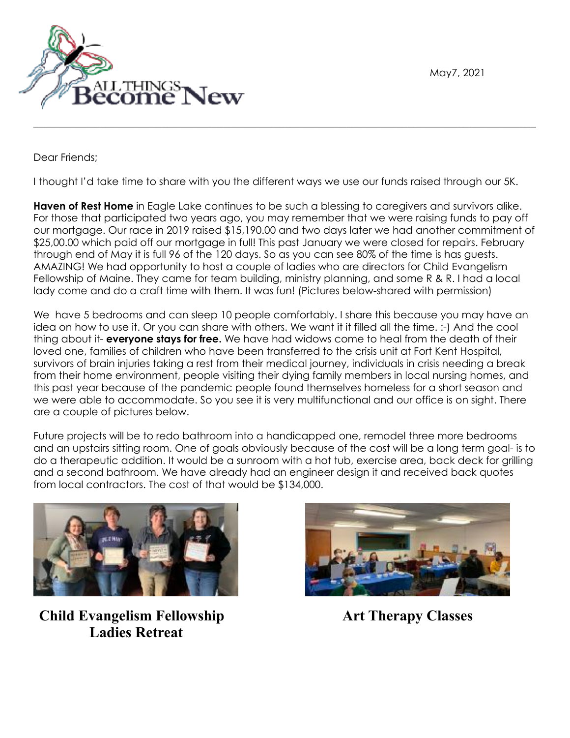May7, 2021



Dear Friends;

I thought I'd take time to share with you the different ways we use our funds raised through our 5K.

 $\mathcal{L}_\mathcal{L} = \mathcal{L}_\mathcal{L} = \mathcal{L}_\mathcal{L} = \mathcal{L}_\mathcal{L} = \mathcal{L}_\mathcal{L} = \mathcal{L}_\mathcal{L} = \mathcal{L}_\mathcal{L} = \mathcal{L}_\mathcal{L} = \mathcal{L}_\mathcal{L} = \mathcal{L}_\mathcal{L} = \mathcal{L}_\mathcal{L} = \mathcal{L}_\mathcal{L} = \mathcal{L}_\mathcal{L} = \mathcal{L}_\mathcal{L} = \mathcal{L}_\mathcal{L} = \mathcal{L}_\mathcal{L} = \mathcal{L}_\mathcal{L}$ 

**Haven of Rest Home** in Eagle Lake continues to be such a blessing to caregivers and survivors alike. For those that participated two years ago, you may remember that we were raising funds to pay off our mortgage. Our race in 2019 raised \$15,190.00 and two days later we had another commitment of \$25,00.00 which paid off our mortgage in full! This past January we were closed for repairs. February through end of May it is full 96 of the 120 days. So as you can see 80% of the time is has guests. AMAZING! We had opportunity to host a couple of ladies who are directors for Child Evangelism Fellowship of Maine. They came for team building, ministry planning, and some R & R. I had a local lady come and do a craft time with them. It was fun! (Pictures below-shared with permission)

We have 5 bedrooms and can sleep 10 people comfortably. I share this because you may have an idea on how to use it. Or you can share with others. We want it it filled all the time. :-) And the cool thing about it- **everyone stays for free.** We have had widows come to heal from the death of their loved one, families of children who have been transferred to the crisis unit at Fort Kent Hospital, survivors of brain injuries taking a rest from their medical journey, individuals in crisis needing a break from their home environment, people visiting their dying family members in local nursing homes, and this past year because of the pandemic people found themselves homeless for a short season and we were able to accommodate. So you see it is very multifunctional and our office is on sight. There are a couple of pictures below.

Future projects will be to redo bathroom into a handicapped one, remodel three more bedrooms and an upstairs sitting room. One of goals obviously because of the cost will be a long term goal- is to do a therapeutic addition. It would be a sunroom with a hot tub, exercise area, back deck for grilling and a second bathroom. We have already had an engineer design it and received back quotes from local contractors. The cost of that would be \$134,000.



**Child Evangelism Fellowship Ladies Retreat** 



**Art Therapy Classes**